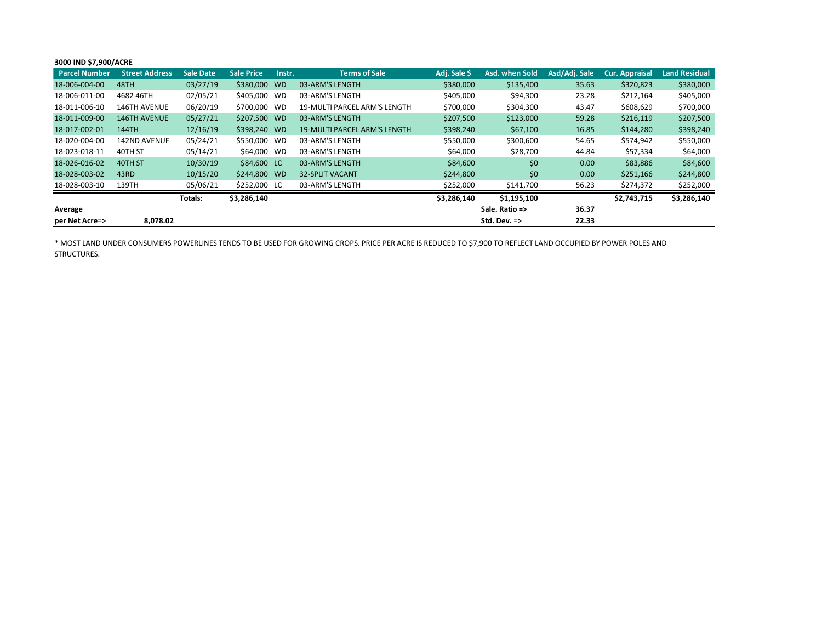## **3000 IND \$7,900/ACRE**

| <b>Parcel Number</b> | <b>Street Address</b> | <b>Sale Date</b> | <b>Sale Price</b> | Instr. | <b>Terms of Sale</b>                | Adj. Sale \$   | Asd. when Sold          | Asd/Adj. Sale     | <b>Cur. Appraisal</b> | <b>Land Residual</b> |
|----------------------|-----------------------|------------------|-------------------|--------|-------------------------------------|----------------|-------------------------|-------------------|-----------------------|----------------------|
| 18-006-004-00        | 48TH                  | 03/27/19         | \$380,000 WD      |        | 03-ARM'S LENGTH                     | \$380,000      | \$135,400               | 35.63             | \$320,823             | \$380,000            |
| 18-006-011-00        | 4682 46TH             | 02/05/21         | \$405,000 WD      |        | 03-ARM'S LENGTH                     | \$405,000      | \$94,300                | 23.28             | \$212,164             | \$405,000            |
| 18-011-006-10        | 146TH AVENUE          | 06/20/19         | \$700,000         | WD     | <b>19-MULTI PARCEL ARM'S LENGTH</b> | \$700,000      | \$304,300               | 43.47             | \$608,629             | \$700,000            |
| 18-011-009-00        | <b>146TH AVENUE</b>   | 05/27/21         | \$207,500 WD      |        | 03-ARM'S LENGTH                     | \$207,500      | \$123,000               | 59.28             | \$216,119             | \$207,500            |
| 18-017-002-01        | 144TH                 | 12/16/19         | \$398,240 WD      |        | <b>19-MULTI PARCEL ARM'S LENGTH</b> | \$398,240      | \$67,100                | 16.85             | \$144,280             | \$398,240            |
| 18-020-004-00        | 142ND AVENUE          | 05/24/21         | \$550,000 WD      |        | 03-ARM'S LENGTH                     | \$550,000      | \$300,600               | 54.65             | \$574,942             | \$550,000            |
| 18-023-018-11        | 40TH ST               | 05/14/21         | \$64,000 WD       |        | 03-ARM'S LENGTH                     | \$64,000       | \$28,700                | 44.84             | \$57,334              | \$64,000             |
| 18-026-016-02        | 40TH ST               | 10/30/19         | \$84,600 LC       |        | 03-ARM'S LENGTH                     | \$84,600       | \$0                     | 0.00              | \$83,886              | \$84,600             |
| 18-028-003-02        | 43RD                  | 10/15/20         | \$244,800 WD      |        | <b>32-SPLIT VACANT</b>              | \$244,800      | \$0                     | 0.00 <sub>1</sub> | \$251,166             | \$244,800            |
| 18-028-003-10        | 139TH                 | 05/06/21         | \$252,000 LC      |        | 03-ARM'S LENGTH                     | \$252,000      | \$141,700               | 56.23             | \$274,372             | \$252,000            |
|                      |                       | Totals:          | \$3,286,140       |        |                                     | \$3,286,140    | \$1,195,100             |                   | \$2,743,715           | \$3,286,140          |
| Average              |                       |                  |                   |        |                                     | Sale. Ratio => |                         | 36.37             |                       |                      |
| per Net Acre=>       | 8.078.02              |                  |                   |        |                                     |                | Std. Dev. $\Rightarrow$ | 22.33             |                       |                      |

\* MOST LAND UNDER CONSUMERS POWERLINES TENDS TO BE USED FOR GROWING CROPS. PRICE PER ACRE IS REDUCED TO \$7,900 TO REFLECT LAND OCCUPIED BY POWER POLES AND STRUCTURES.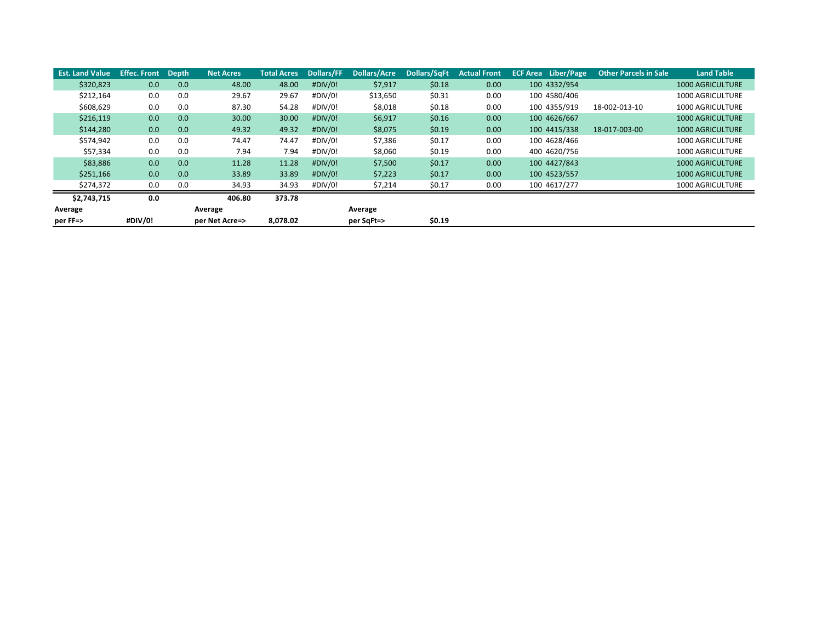| <b>Est. Land Value</b> | <b>Effec. Front</b> | <b>Depth</b>     | <b>Net Acres</b> | <b>Total Acres</b> | <b>Dollars/FF</b> | <b>Dollars/Acre</b> | Dollars/SqFt | <b>Actual Front</b> | <b>ECF Area</b> Liber/Page | <b>Other Parcels in Sale</b> | <b>Land Table</b>       |
|------------------------|---------------------|------------------|------------------|--------------------|-------------------|---------------------|--------------|---------------------|----------------------------|------------------------------|-------------------------|
| \$320,823              | 0.0                 | 0.0 <sub>1</sub> | 48.00            | 48.00              | #DIV/0!           | \$7,917             | \$0.18       | 0.00                | 100 4332/954               |                              | <b>1000 AGRICULTURE</b> |
| \$212,164              | 0.0                 | 0.0              | 29.67            | 29.67              | #DIV/0!           | \$13,650            | \$0.31       | 0.00                | 100 4580/406               |                              | <b>1000 AGRICULTURE</b> |
| \$608,629              | 0.0                 | 0.0              | 87.30            | 54.28              | #DIV/0!           | \$8,018             | \$0.18       | 0.00                | 100 4355/919               | 18-002-013-10                | 1000 AGRICULTURE        |
| \$216,119              | 0.0                 | 0.0              | 30.00            | 30.00              | $\#$ DIV/0!       | \$6,917             | \$0.16       | 0.00                | 100 4626/667               |                              | <b>1000 AGRICULTURE</b> |
| \$144,280              | 0.0                 | 0.0              | 49.32            | 49.32              | #DIV/0!           | \$8,075             | \$0.19       | 0.00                | 100 4415/338               | 18-017-003-00                | <b>1000 AGRICULTURE</b> |
| \$574,942              | 0.0                 | 0.0              | 74.47            | 74.47              | #DIV/0!           | \$7,386             | \$0.17       | 0.00                | 100 4628/466               |                              | 1000 AGRICULTURE        |
| \$57,334               | 0.0                 | 0.0              | 7.94             | 7.94               | #DIV/0!           | \$8,060             | \$0.19       | 0.00                | 400 4620/756               |                              | 1000 AGRICULTURE        |
| \$83,886               | 0.0                 | 0.0              | 11.28            | 11.28              | $\#$ DIV/0!       | \$7,500             | \$0.17       | 0.00                | 100 4427/843               |                              | <b>1000 AGRICULTURE</b> |
| \$251,166              | 0.0                 | 0.0              | 33.89            | 33.89              | $\#$ DIV/0!       | \$7,223             | \$0.17       | 0.00                | 100 4523/557               |                              | <b>1000 AGRICULTURE</b> |
| \$274,372              | 0.0                 | 0.0              | 34.93            | 34.93              | #DIV/0!           | \$7,214             | \$0.17       | 0.00                | 100 4617/277               |                              | <b>1000 AGRICULTURE</b> |
| \$2,743,715            | 0.0                 |                  | 406.80           | 373.78             |                   |                     |              |                     |                            |                              |                         |
| Average                |                     | Average          |                  |                    |                   | Average             |              |                     |                            |                              |                         |
| per FF=>               | #DIV/0!             |                  | per Net Acre=>   | 8,078.02           |                   | per SqFt=>          | \$0.19       |                     |                            |                              |                         |